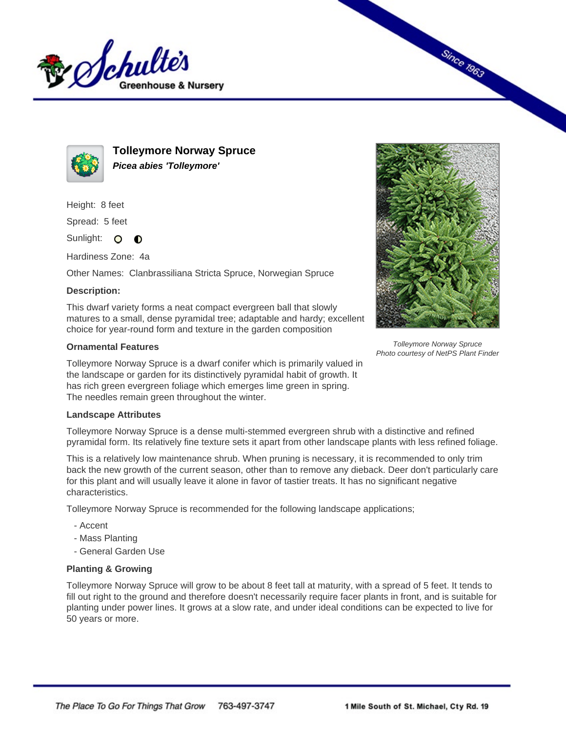



**Tolleymore Norway Spruce Picea abies 'Tolleymore'**

Height: 8 feet

Spread: 5 feet

Sunlight: O **O** 

Hardiness Zone: 4a

Other Names: Clanbrassiliana Stricta Spruce, Norwegian Spruce

## **Description:**

This dwarf variety forms a neat compact evergreen ball that slowly matures to a small, dense pyramidal tree; adaptable and hardy; excellent choice for year-round form and texture in the garden composition

## **Ornamental Features**

Tolleymore Norway Spruce is a dwarf conifer which is primarily valued in the landscape or garden for its distinctively pyramidal habit of growth. It has rich green evergreen foliage which emerges lime green in spring. The needles remain green throughout the winter.

## **Landscape Attributes**

Tolleymore Norway Spruce is a dense multi-stemmed evergreen shrub with a distinctive and refined pyramidal form. Its relatively fine texture sets it apart from other landscape plants with less refined foliage.

This is a relatively low maintenance shrub. When pruning is necessary, it is recommended to only trim back the new growth of the current season, other than to remove any dieback. Deer don't particularly care for this plant and will usually leave it alone in favor of tastier treats. It has no significant negative characteristics.

Tolleymore Norway Spruce is recommended for the following landscape applications;

- Accent
- Mass Planting
- General Garden Use

## **Planting & Growing**

Tolleymore Norway Spruce will grow to be about 8 feet tall at maturity, with a spread of 5 feet. It tends to fill out right to the ground and therefore doesn't necessarily require facer plants in front, and is suitable for planting under power lines. It grows at a slow rate, and under ideal conditions can be expected to live for 50 years or more.



Since 1963

Tolleymore Norway Spruce Photo courtesy of NetPS Plant Finder